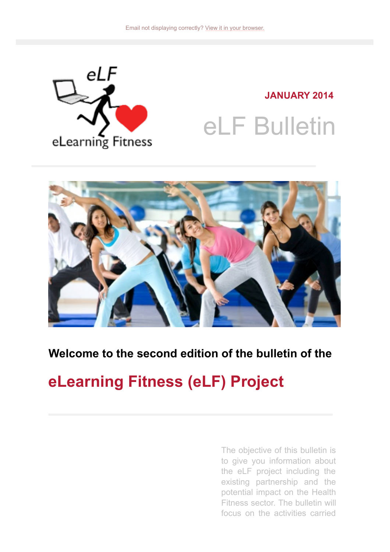

**JANUARY 2014** eLF Bulletin



#### **Welcome to the second edition of the bulletin of the**

### **eLearning Fitness (eLF) Project**

The objective of this bulletin is to give you information about the eLF project including the existing partnership and the potential impact on the Health Fitness sector. The bulletin will focus on the activities carried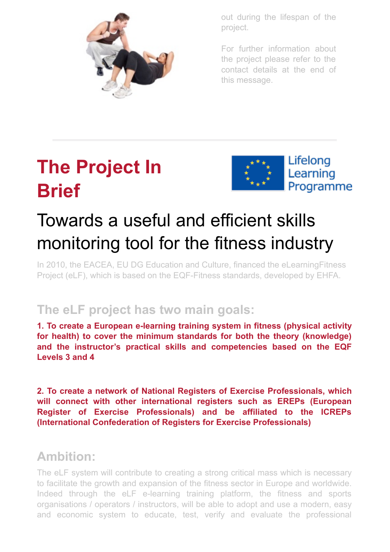

out during the lifespan of the project.

For further information about the project please refer to the contact details at the end of this message.

# **The Project In Brief**



# Towards a useful and efficient skills monitoring tool for the fitness industry

In 2010, the EACEA, EU DG Education and Culture, financed the eLearningFitness Project (eLF), which is based on the EQF-Fitness standards, developed by EHFA.

### **The eLF project has two main goals:**

**1. To create a European e-learning training system in fitness (physical activity for health) to cover the minimum standards for both the theory (knowledge) and the instructor's practical skills and competencies based on the EQF Levels 3 and 4**

**2. To create a network of National Registers of Exercise Professionals, which will connect with other international registers such as EREPs (European Register of Exercise Professionals) and be affiliated to the ICREPs (International Confederation of Registers for Exercise Professionals)**

### **Ambition:**

The eLF system will contribute to creating a strong critical mass which is necessary to facilitate the growth and expansion of the fitness sector in Europe and worldwide. Indeed through the eLF e-learning training platform, the fitness and sports organisations / operators / instructors, will be able to adopt and use a modern, easy and economic system to educate, test, verify and evaluate the professional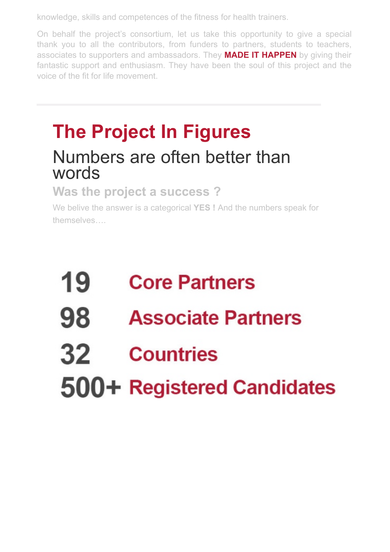knowledge, skills and competences of the fitness for health trainers.

On behalf the project's consortium, let us take this opportunity to give a special thank you to all the contributors, from funders to partners, students to teachers, associates to supporters and ambassadors. They **MADE IT HAPPEN** by giving their fantastic support and enthusiasm. They have been the soul of this project and the voice of the fit for life movement.

# **The Project In Figures** Numbers are often better than words

#### **Was the project a success ?**

We belive the answer is a categorical **YES !** And the numbers speak for themselves….

# 19 **Core Partners**

98 **Associate Partners** 

#### 32 **Countries**

500+ Registered Candidates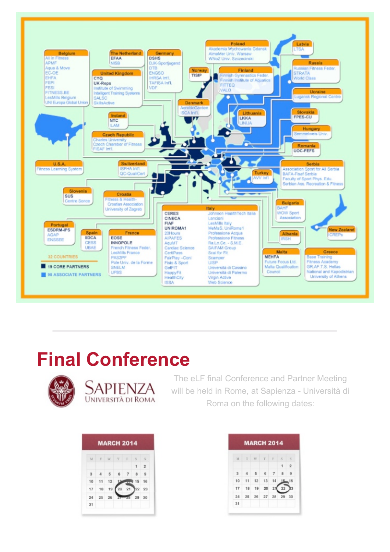

### **Final Conference**



Sapienza **UNIVERSITÀ DI ROMA** 

The eLF final Conference and Partner Meeting will be held in Rome, at Sapienza - Università di Roma on the following dates:

| M  | $\mathcal{T}$ | W    | -75 | R  | $-5$ | $\overline{\mathbf{s}}$ |
|----|---------------|------|-----|----|------|-------------------------|
|    |               |      |     |    |      | $\overline{2}$          |
| а  |               | $-5$ | 6 7 |    |      |                         |
| 10 | 11            | 12   |     |    | 15   | 16                      |
| 17 | 18            | 19   | 20  | 21 |      | 22 23                   |
| 24 | 25            | 26   |     |    | 29   | 30                      |
| 31 |               |      |     |    |      |                         |

| M  | T  | W  | T  | F  | S  | S              |
|----|----|----|----|----|----|----------------|
|    |    |    |    |    | 1  | $\overline{2}$ |
| я  |    | в. | ĸ  |    |    |                |
| 10 | 11 | 12 | 13 |    |    | 16             |
| 17 | 18 | 19 | 20 |    | 22 |                |
| 24 | 25 | 26 | 27 | 28 | 29 | 30             |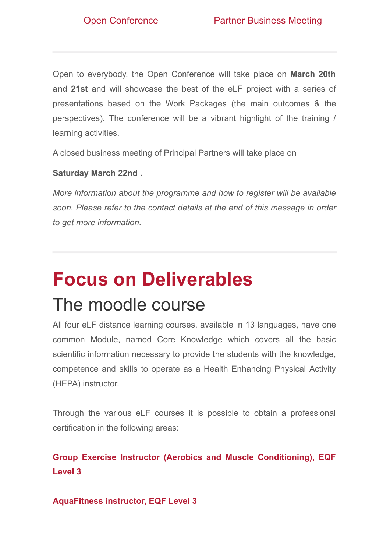Open to everybody, the Open Conference will take place on **March 20th and 21st** and will showcase the best of the eLF project with a series of presentations based on the Work Packages (the main outcomes & the perspectives). The conference will be a vibrant highlight of the training / learning activities.

A closed business meeting of Principal Partners will take place on

#### **Saturday March 22nd .**

*More information about the programme and how to register will be available soon. Please refer to the contact details at the end of this message in order to get more information.*

# **Focus on Deliverables**

### The moodle course

All four eLF distance learning courses, available in 13 languages, have one common Module, named Core Knowledge which covers all the basic scientific information necessary to provide the students with the knowledge, competence and skills to operate as a Health Enhancing Physical Activity (HEPA) instructor.

Through the various eLF courses it is possible to obtain a professional certification in the following areas:

#### **Group Exercise Instructor (Aerobics and Muscle Conditioning), EQF Level 3**

#### **AquaFitness instructor, EQF Level 3**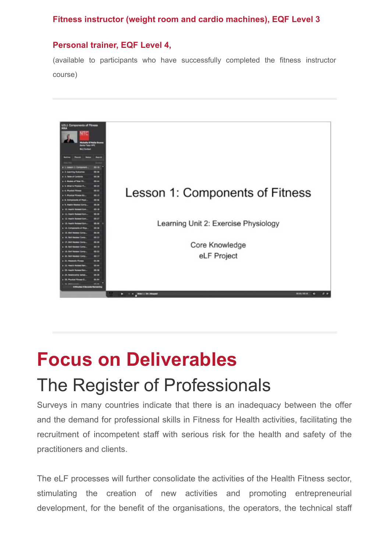#### **Fitness instructor (weight room and cardio machines), EQF Level 3**

#### **Personal trainer, EQF Level 4,**

(available to participants who have successfully completed the fitness instructor course)



# **Focus on Deliverables** The Register of Professionals

Surveys in many countries indicate that there is an inadequacy between the offer and the demand for professional skills in Fitness for Health activities, facilitating the recruitment of incompetent staff with serious risk for the health and safety of the practitioners and clients.

The eLF processes will further consolidate the activities of the Health Fitness sector, stimulating the creation of new activities and promoting entrepreneurial development, for the benefit of the organisations, the operators, the technical staff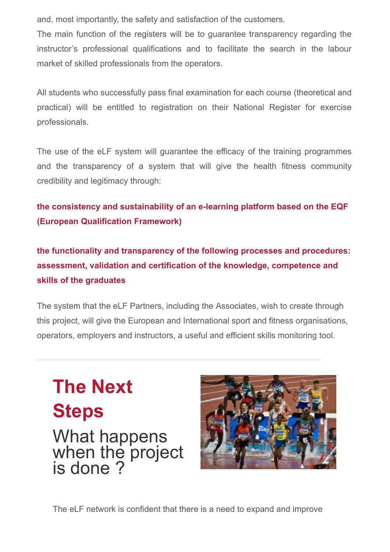and, most importantly, the safety and satisfaction of the customers.

The main function of the registers will be to guarantee transparency regarding the instructor's professional qualifications and to facilitate the search in the labour market of skilled professionals from the operators.

All students who successfully pass final examination for each course (theoretical and practical) will be entitled to registration on their National Register for exercise professionals.

The use of the eLF system will guarantee the efficacy of the training programmes and the transparency of a system that will give the health fitness community credibility and legitimacy through:

**the consistency and sustainability of an e-learning platform based on the EQF (European Qualification Framework)**

**the functionality and transparency of the following processes and procedures: assessment, validation and certification of the knowledge, competence and skills of the graduates**

The system that the eLF Partners, including the Associates, wish to create through this project, will give the European and International sport and fitness organisations, operators, employers and instructors, a useful and efficient skills monitoring tool.

**The Next Steps** What happens when the project is done ?



The eLF network is confident that there is a need to expand and improve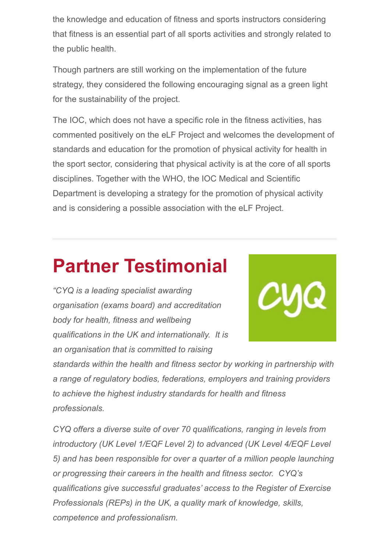the knowledge and education of fitness and sports instructors considering that fitness is an essential part of all sports activities and strongly related to the public health.

Though partners are still working on the implementation of the future strategy, they considered the following encouraging signal as a green light for the sustainability of the project.

The IOC, which does not have a specific role in the fitness activities, has commented positively on the eLF Project and welcomes the development of standards and education for the promotion of physical activity for health in the sport sector, considering that physical activity is at the core of all sports disciplines. Together with the WHO, the IOC Medical and Scientific Department is developing a strategy for the promotion of physical activity and is considering a possible association with the eLF Project.

# **Partner Testimonial**

*"CYQ is a leading specialist awarding organisation (exams board) and accreditation body for health, fitness and wellbeing qualifications in the UK and internationally. It is an organisation that is committed to raising*



*standards within the health and fitness sector by working in partnership with a range of regulatory bodies, federations, employers and training providers to achieve the highest industry standards for health and fitness professionals.*

*CYQ offers a diverse suite of over 70 qualifications, ranging in levels from introductory (UK Level 1/EQF Level 2) to advanced (UK Level 4/EQF Level 5) and has been responsible for over a quarter of a million people launching or progressing their careers in the health and fitness sector. CYQ's qualifications give successful graduates' access to the Register of Exercise Professionals (REPs) in the UK, a quality mark of knowledge, skills, competence and professionalism.*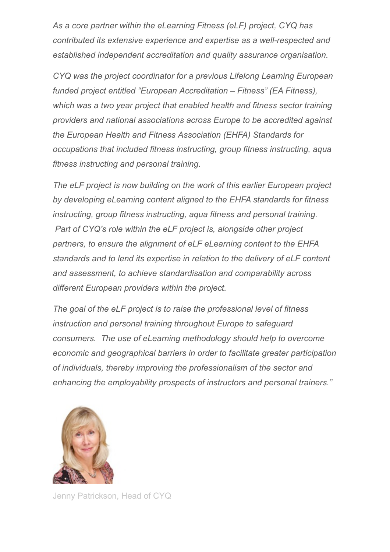*As a core partner within the eLearning Fitness (eLF) project, CYQ has contributed its extensive experience and expertise as a well-respected and established independent accreditation and quality assurance organisation.*

*CYQ was the project coordinator for a previous Lifelong Learning European funded project entitled "European Accreditation – Fitness" (EA Fitness), which was a two year project that enabled health and fitness sector training providers and national associations across Europe to be accredited against the European Health and Fitness Association (EHFA) Standards for occupations that included fitness instructing, group fitness instructing, aqua fitness instructing and personal training.*

*The eLF project is now building on the work of this earlier European project by developing eLearning content aligned to the EHFA standards for fitness instructing, group fitness instructing, aqua fitness and personal training. Part of CYQ's role within the eLF project is, alongside other project partners, to ensure the alignment of eLF eLearning content to the EHFA standards and to lend its expertise in relation to the delivery of eLF content and assessment, to achieve standardisation and comparability across different European providers within the project.*

*The goal of the eLF project is to raise the professional level of fitness instruction and personal training throughout Europe to safeguard consumers. The use of eLearning methodology should help to overcome economic and geographical barriers in order to facilitate greater participation of individuals, thereby improving the professionalism of the sector and enhancing the employability prospects of instructors and personal trainers."*



Jenny Patrickson, Head of CYQ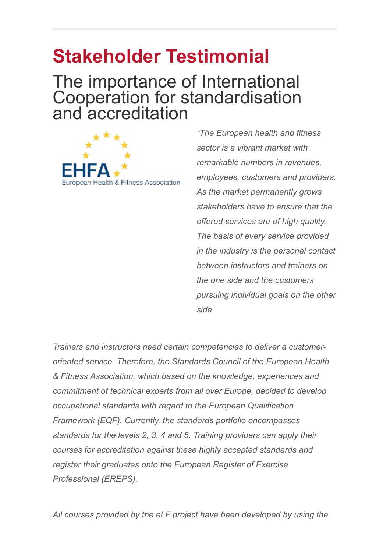# **Stakeholder Testimonial**

### The importance of International Cooperation for standardisation and accreditation



*"The European health and fitness sector is a vibrant market with remarkable numbers in revenues, employees, customers and providers. As the market permanently grows stakeholders have to ensure that the offered services are of high quality. The basis of every service provided in the industry is the personal contact between instructors and trainers on the one side and the customers pursuing individual goals on the other side.* 

*Trainers and instructors need certain competencies to deliver a customeroriented service. Therefore, the Standards Council of the European Health & Fitness Association, which based on the knowledge, experiences and commitment of technical experts from all over Europe, decided to develop occupational standards with regard to the European Qualification Framework (EQF). Currently, the standards portfolio encompasses standards for the levels 2, 3, 4 and 5. Training providers can apply their courses for accreditation against these highly accepted standards and register their graduates onto the European Register of Exercise Professional (EREPS).* 

*All courses provided by the eLF project have been developed by using the*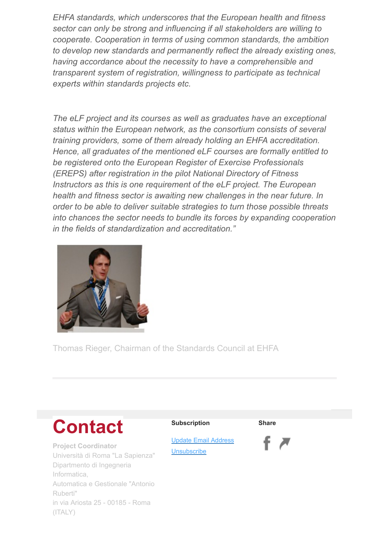*EHFA standards, which underscores that the European health and fitness sector can only be strong and influencing if all stakeholders are willing to cooperate. Cooperation in terms of using common standards, the ambition to develop new standards and permanently reflect the already existing ones, having accordance about the necessity to have a comprehensible and transparent system of registration, willingness to participate as technical experts within standards projects etc.* 

*The eLF project and its courses as well as graduates have an exceptional status within the European network, as the consortium consists of several training providers, some of them already holding an EHFA accreditation. Hence, all graduates of the mentioned eLF courses are formally entitled to be registered onto the European Register of Exercise Professionals (EREPS) after registration in the pilot National Directory of Fitness Instructors as this is one requirement of the eLF project. The European health and fitness sector is awaiting new challenges in the near future. In order to be able to deliver suitable strategies to turn those possible threats into chances the sector needs to bundle its forces by expanding cooperation in the fields of standardization and accreditation."*



Thomas Rieger, Chairman of the Standards Council at EHFA

## **Contact**

**Project Coordinator** Università di Roma "La Sapienza" Dipartmento di Ingegneria Informatica, Automatica e Gestionale "Antonio Ruberti" in via Ariosta 25 - 00185 - Roma (ITALY)

#### **Subscription**

**Share**

[Update Email Address](http://d19cgyi5s8w5eh.cloudfront.net/eml/Y4975711-27V7-4275-899W-55WU90Y8083X?e=greg.merriman%40ntc.ie&a=VU3V0497-U030-446X-82W0-459VW953WU63&f=&t=1#update-email-address-url) **[Unsubscribe](http://d19cgyi5s8w5eh.cloudfront.net/eml/Y4975711-27V7-4275-899W-55WU90Y8083X?e=greg.merriman%40ntc.ie&a=VU3V0497-U030-446X-82W0-459VW953WU63&f=&t=1#unsubscribe-url)**